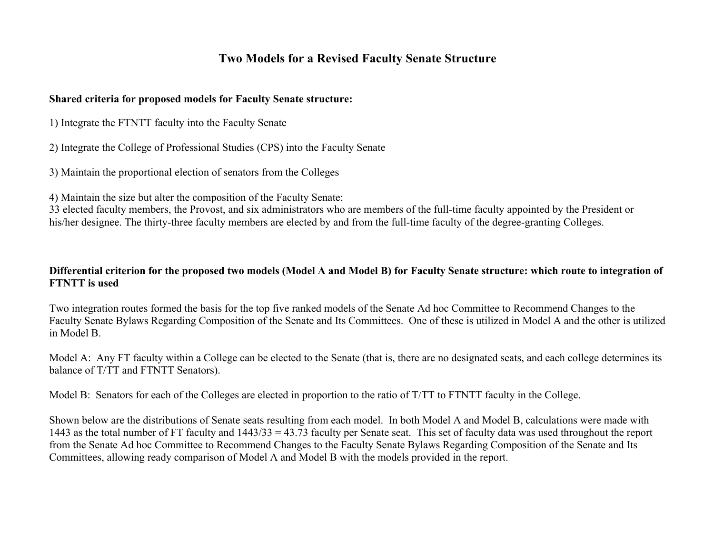## **Two Models for a Revised Faculty Senate Structure**

## **Shared criteria for proposed models for Faculty Senate structure:**

1) Integrate the FTNTT faculty into the Faculty Senate

2) Integrate the College of Professional Studies (CPS) into the Faculty Senate

3) Maintain the proportional election of senators from the Colleges

4) Maintain the size but alter the composition of the Faculty Senate:

33 elected faculty members, the Provost, and six administrators who are members of the full-time faculty appointed by the President or his/her designee. The thirty-three faculty members are elected by and from the full-time faculty of the degree-granting Colleges.

## **Differential criterion for the proposed two models (Model A and Model B) for Faculty Senate structure: which route to integration of FTNTT is used**

Two integration routes formed the basis for the top five ranked models of the Senate Ad hoc Committee to Recommend Changes to the Faculty Senate Bylaws Regarding Composition of the Senate and Its Committees. One of these is utilized in Model A and the other is utilized in Model B.

Model A: Any FT faculty within a College can be elected to the Senate (that is, there are no designated seats, and each college determines its balance of T/TT and FTNTT Senators).

Model B: Senators for each of the Colleges are elected in proportion to the ratio of T/TT to FTNTT faculty in the College.

Shown below are the distributions of Senate seats resulting from each model. In both Model A and Model B, calculations were made with 1443 as the total number of FT faculty and 1443/33 = 43.73 faculty per Senate seat. This set of faculty data was used throughout the report from the Senate Ad hoc Committee to Recommend Changes to the Faculty Senate Bylaws Regarding Composition of the Senate and Its Committees, allowing ready comparison of Model A and Model B with the models provided in the report.